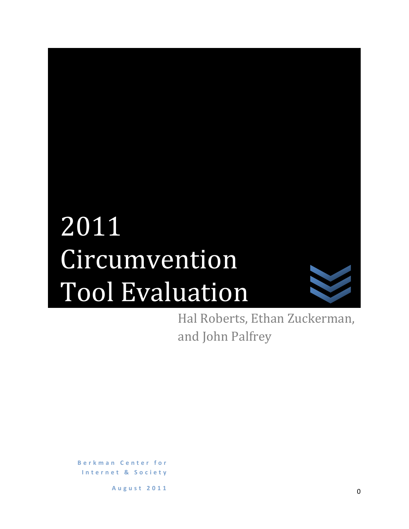# 2011 Circumvention Tool Evaluation



Hal Roberts, Ethan Zuckerman, and John Palfrey

Berkman Center for Internet & Society

A u g u s t 2 0 1 1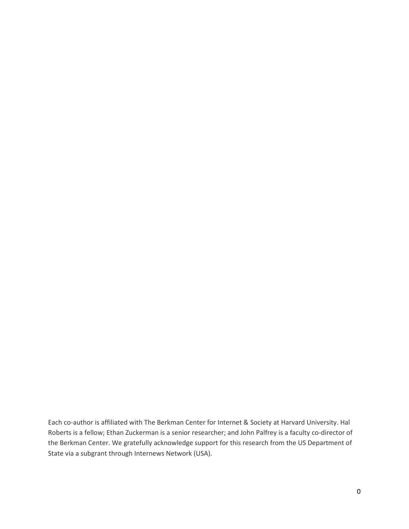Each co-author is affiliated with The Berkman Center for Internet & Society at Harvard University. Hal Roberts is a fellow; Ethan Zuckerman is a senior researcher; and John Palfrey is a faculty co-director of the Berkman Center. We gratefully acknowledge support for this research from the US Department of State via a subgrant through Internews Network (USA).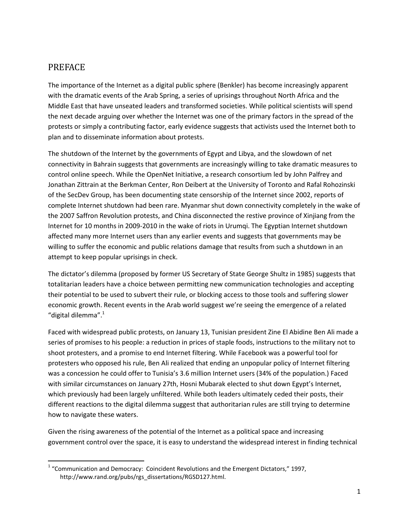#### PREFACE

l

The importance of the Internet as a digital public sphere (Benkler) has become increasingly apparent with the dramatic events of the Arab Spring, a series of uprisings throughout North Africa and the Middle East that have unseated leaders and transformed societies. While political scientists will spend the next decade arguing over whether the Internet was one of the primary factors in the spread of the protests or simply a contributing factor, early evidence suggests that activists used the Internet both to plan and to disseminate information about protests.

The shutdown of the Internet by the governments of Egypt and Libya, and the slowdown of net connectivity in Bahrain suggests that governments are increasingly willing to take dramatic measures to control online speech. While the OpenNet Initiative, a research consortium led by John Palfrey and Jonathan Zittrain at the Berkman Center, Ron Deibert at the University of Toronto and Rafal Rohozinski of the SecDev Group, has been documenting state censorship of the Internet since 2002, reports of complete Internet shutdown had been rare. Myanmar shut down connectivity completely in the wake of the 2007 Saffron Revolution protests, and China disconnected the restive province of Xinjiang from the Internet for 10 months in 2009-2010 in the wake of riots in Urumqi. The Egyptian Internet shutdown affected many more Internet users than any earlier events and suggests that governments may be willing to suffer the economic and public relations damage that results from such a shutdown in an attempt to keep popular uprisings in check.

The dictator's dilemma (proposed by former US Secretary of State George Shultz in 1985) suggests that totalitarian leaders have a choice between permitting new communication technologies and accepting their potential to be used to subvert their rule, or blocking access to those tools and suffering slower economic growth. Recent events in the Arab world suggest we're seeing the emergence of a related "digital dilemma".<sup>1</sup>

Faced with widespread public protests, on January 13, Tunisian president Zine El Abidine Ben Ali made a series of promises to his people: a reduction in prices of staple foods, instructions to the military not to shoot protesters, and a promise to end Internet filtering. While Facebook was a powerful tool for protesters who opposed his rule, Ben Ali realized that ending an unpopular policy of Internet filtering was a concession he could offer to Tunisia's 3.6 million Internet users (34% of the population.) Faced with similar circumstances on January 27th, Hosni Mubarak elected to shut down Egypt's Internet, which previously had been largely unfiltered. While both leaders ultimately ceded their posts, their different reactions to the digital dilemma suggest that authoritarian rules are still trying to determine how to navigate these waters.

Given the rising awareness of the potential of the Internet as a political space and increasing government control over the space, it is easy to understand the widespread interest in finding technical

 $1$  "Communication and Democracy: Coincident Revolutions and the Emergent Dictators," 1997, http://www.rand.org/pubs/rgs\_dissertations/RGSD127.html.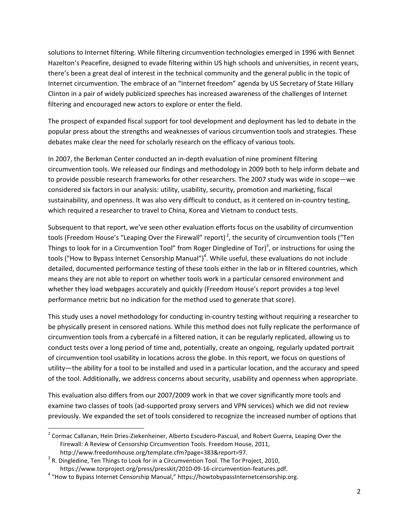solutions to Internet filtering. While filtering circumvention technologies emerged in 1996 with Bennet Hazelton's Peacefire, designed to evade filtering within US high schools and universities, in recent years, there's been a great deal of interest in the technical community and the general public in the topic of Internet circumvention. The embrace of an "Internet freedom" agenda by US Secretary of State Hillary Clinton in a pair of widely publicized speeches has increased awareness of the challenges of Internet filtering and encouraged new actors to explore or enter the field.

The prospect of expanded fiscal support for tool development and deployment has led to debate in the popular press about the strengths and weaknesses of various circumvention tools and strategies. These debates make clear the need for scholarly research on the efficacy of various tools.

In 2007, the Berkman Center conducted an in-depth evaluation of nine prominent filtering circumvention tools. We released our findings and methodology in 2009 both to help inform debate and to provide possible research frameworks for other researchers. The 2007 study was wide in scope—we considered six factors in our analysis: utility, usability, security, promotion and marketing, fiscal sustainability, and openness. It was also very difficult to conduct, as it centered on in-country testing, which required a researcher to travel to China, Korea and Vietnam to conduct tests.

Subsequent to that report, we've seen other evaluation efforts focus on the usability of circumvention tools (Freedom House's "Leaping Over the Firewall" report)<sup>2</sup>, the security of circumvention tools ("Ten Things to look for in a Circumvention Tool" from Roger Dingledine of Tor)<sup>3</sup>, or instructions for using the tools ("How to Bypass Internet Censorship Manual")<sup>4</sup>. While useful, these evaluations do not include detailed, documented performance testing of these tools either in the lab or in filtered countries, which means they are not able to report on whether tools work in a particular censored environment and whether they load webpages accurately and quickly (Freedom House's report provides a top level performance metric but no indication for the method used to generate that score).

This study uses a novel methodology for conducting in-country testing without requiring a researcher to be physically present in censored nations. While this method does not fully replicate the performance of circumvention tools from a cybercafé in a filtered nation, it can be regularly replicated, allowing us to conduct tests over a long period of time and, potentially, create an ongoing, regularly updated portrait of circumvention tool usability in locations across the globe. In this report, we focus on questions of utility—the ability for a tool to be installed and used in a particular location, and the accuracy and speed of the tool. Additionally, we address concerns about security, usability and openness when appropriate.

This evaluation also differs from our 2007/2009 work in that we cover significantly more tools and examine two classes of tools (ad-supported proxy servers and VPN services) which we did not review previously. We expanded the set of tools considered to recognize the increased number of options that

l

<sup>&</sup>lt;sup>2</sup> Cormac Callanan, Hein Dries-Ziekenheiner, Alberto Escudero-Pascual, and Robert Guerra, Leaping Over the Firewall: A Review of Censorship Circumvention Tools. Freedom House, 2011, http://www.freedomhouse.org/template.cfm?page=383&report=97.

 $3$  R. Dingledine, Ten Things to Look for in a Circumvention Tool. The Tor Project, 2010, https://www.torproject.org/press/presskit/2010-09-16-circumvention-features.pdf.

<sup>&</sup>lt;sup>4</sup> "How to Bypass Internet Censorship Manual," https://howtobypassInternetcensorship.org.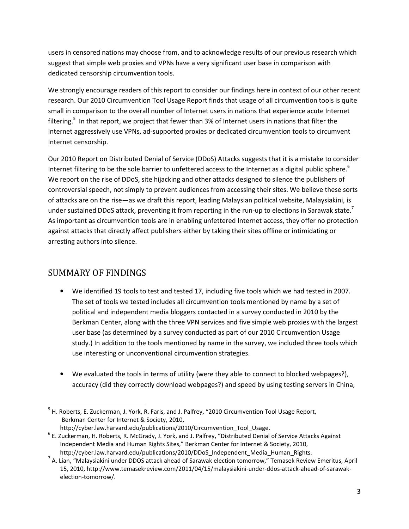users in censored nations may choose from, and to acknowledge results of our previous research which suggest that simple web proxies and VPNs have a very significant user base in comparison with dedicated censorship circumvention tools.

We strongly encourage readers of this report to consider our findings here in context of our other recent research. Our 2010 Circumvention Tool Usage Report finds that usage of all circumvention tools is quite small in comparison to the overall number of Internet users in nations that experience acute Internet filtering.<sup>5</sup> In that report, we project that fewer than 3% of Internet users in nations that filter the Internet aggressively use VPNs, ad-supported proxies or dedicated circumvention tools to circumvent Internet censorship.

Our 2010 Report on Distributed Denial of Service (DDoS) Attacks suggests that it is a mistake to consider Internet filtering to be the sole barrier to unfettered access to the Internet as a digital public sphere.<sup>6</sup> We report on the rise of DDoS, site hijacking and other attacks designed to silence the publishers of controversial speech, not simply to prevent audiences from accessing their sites. We believe these sorts of attacks are on the rise—as we draft this report, leading Malaysian political website, Malaysiakini, is under sustained DDoS attack, preventing it from reporting in the run-up to elections in Sarawak state.<sup>7</sup> As important as circumvention tools are in enabling unfettered Internet access, they offer no protection against attacks that directly affect publishers either by taking their sites offline or intimidating or arresting authors into silence.

# SUMMARY OF FINDINGS

- We identified 19 tools to test and tested 17, including five tools which we had tested in 2007. The set of tools we tested includes all circumvention tools mentioned by name by a set of political and independent media bloggers contacted in a survey conducted in 2010 by the Berkman Center, along with the three VPN services and five simple web proxies with the largest user base (as determined by a survey conducted as part of our 2010 Circumvention Usage study.) In addition to the tools mentioned by name in the survey, we included three tools which use interesting or unconventional circumvention strategies.
- We evaluated the tools in terms of utility (were they able to connect to blocked webpages?), accuracy (did they correctly download webpages?) and speed by using testing servers in China,

l <sup>5</sup> H. Roberts, E. Zuckerman, J. York, R. Faris, and J. Palfrey, "2010 Circumvention Tool Usage Report, Berkman Center for Internet & Society, 2010,

http://cyber.law.harvard.edu/publications/2010/Circumvention\_Tool\_Usage.

<sup>6</sup> E. Zuckerman, H. Roberts, R. McGrady, J. York, and J. Palfrey, "Distributed Denial of Service Attacks Against Independent Media and Human Rights Sites," Berkman Center for Internet & Society, 2010, http://cyber.law.harvard.edu/publications/2010/DDoS\_Independent\_Media\_Human\_Rights.

<sup>&</sup>lt;sup>7</sup> A. Lian, "Malaysiakini under DDOS attack ahead of Sarawak election tomorrow," Temasek Review Emeritus, April 15, 2010, http://www.temasekreview.com/2011/04/15/malaysiakini-under-ddos-attack-ahead-of-sarawakelection-tomorrow/.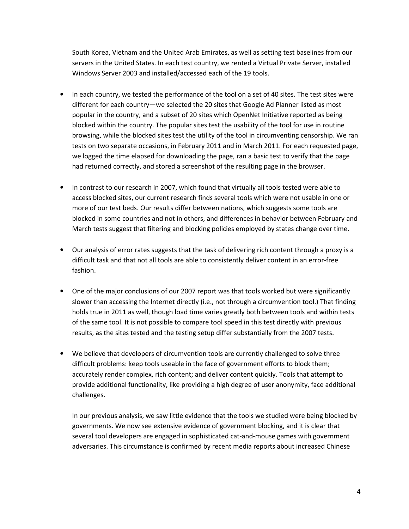South Korea, Vietnam and the United Arab Emirates, as well as setting test baselines from our servers in the United States. In each test country, we rented a Virtual Private Server, installed Windows Server 2003 and installed/accessed each of the 19 tools.

- In each country, we tested the performance of the tool on a set of 40 sites. The test sites were different for each country—we selected the 20 sites that Google Ad Planner listed as most popular in the country, and a subset of 20 sites which OpenNet Initiative reported as being blocked within the country. The popular sites test the usability of the tool for use in routine browsing, while the blocked sites test the utility of the tool in circumventing censorship. We ran tests on two separate occasions, in February 2011 and in March 2011. For each requested page, we logged the time elapsed for downloading the page, ran a basic test to verify that the page had returned correctly, and stored a screenshot of the resulting page in the browser.
- In contrast to our research in 2007, which found that virtually all tools tested were able to access blocked sites, our current research finds several tools which were not usable in one or more of our test beds. Our results differ between nations, which suggests some tools are blocked in some countries and not in others, and differences in behavior between February and March tests suggest that filtering and blocking policies employed by states change over time.
- Our analysis of error rates suggests that the task of delivering rich content through a proxy is a difficult task and that not all tools are able to consistently deliver content in an error-free fashion.
- One of the major conclusions of our 2007 report was that tools worked but were significantly slower than accessing the Internet directly (i.e., not through a circumvention tool.) That finding holds true in 2011 as well, though load time varies greatly both between tools and within tests of the same tool. It is not possible to compare tool speed in this test directly with previous results, as the sites tested and the testing setup differ substantially from the 2007 tests.
- We believe that developers of circumvention tools are currently challenged to solve three difficult problems: keep tools useable in the face of government efforts to block them; accurately render complex, rich content; and deliver content quickly. Tools that attempt to provide additional functionality, like providing a high degree of user anonymity, face additional challenges.

In our previous analysis, we saw little evidence that the tools we studied were being blocked by governments. We now see extensive evidence of government blocking, and it is clear that several tool developers are engaged in sophisticated cat-and-mouse games with government adversaries. This circumstance is confirmed by recent media reports about increased Chinese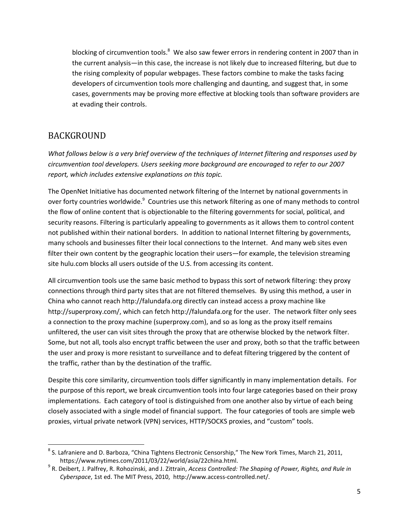blocking of circumvention tools.<sup>8</sup> We also saw fewer errors in rendering content in 2007 than in the current analysis—in this case, the increase is not likely due to increased filtering, but due to the rising complexity of popular webpages. These factors combine to make the tasks facing developers of circumvention tools more challenging and daunting, and suggest that, in some cases, governments may be proving more effective at blocking tools than software providers are at evading their controls.

## BACKGROUND

 $\overline{\phantom{a}}$ 

What follows below is a very brief overview of the techniques of Internet filtering and responses used by circumvention tool developers. Users seeking more background are encouraged to refer to our 2007 report, which includes extensive explanations on this topic.

The OpenNet Initiative has documented network filtering of the Internet by national governments in over forty countries worldwide.<sup>9</sup> Countries use this network filtering as one of many methods to control the flow of online content that is objectionable to the filtering governments for social, political, and security reasons. Filtering is particularly appealing to governments as it allows them to control content not published within their national borders. In addition to national Internet filtering by governments, many schools and businesses filter their local connections to the Internet. And many web sites even filter their own content by the geographic location their users—for example, the television streaming site hulu.com blocks all users outside of the U.S. from accessing its content.

All circumvention tools use the same basic method to bypass this sort of network filtering: they proxy connections through third party sites that are not filtered themselves. By using this method, a user in China who cannot reach http://falundafa.org directly can instead access a proxy machine like http://superproxy.com/, which can fetch http://falundafa.org for the user. The network filter only sees a connection to the proxy machine (superproxy.com), and so as long as the proxy itself remains unfiltered, the user can visit sites through the proxy that are otherwise blocked by the network filter. Some, but not all, tools also encrypt traffic between the user and proxy, both so that the traffic between the user and proxy is more resistant to surveillance and to defeat filtering triggered by the content of the traffic, rather than by the destination of the traffic.

Despite this core similarity, circumvention tools differ significantly in many implementation details. For the purpose of this report, we break circumvention tools into four large categories based on their proxy implementations. Each category of tool is distinguished from one another also by virtue of each being closely associated with a single model of financial support. The four categories of tools are simple web proxies, virtual private network (VPN) services, HTTP/SOCKS proxies, and "custom" tools.

<sup>&</sup>lt;sup>8</sup> S. Lafraniere and D. Barboza, "China Tightens Electronic Censorship," The New York Times, March 21, 2011, https://www.nytimes.com/2011/03/22/world/asia/22china.html.

<sup>&</sup>lt;sup>9</sup> R. Deibert, J. Palfrey, R. Rohozinski, and J. Zittrain, Access Controlled: The Shaping of Power, Rights, and Rule in Cyberspace, 1st ed. The MIT Press, 2010, http://www.access-controlled.net/.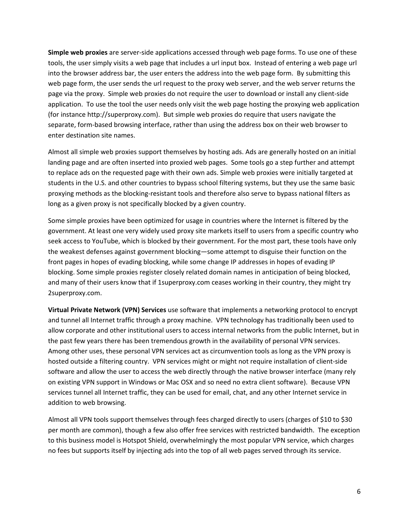Simple web proxies are server-side applications accessed through web page forms. To use one of these tools, the user simply visits a web page that includes a url input box. Instead of entering a web page url into the browser address bar, the user enters the address into the web page form. By submitting this web page form, the user sends the url request to the proxy web server, and the web server returns the page via the proxy. Simple web proxies do not require the user to download or install any client-side application. To use the tool the user needs only visit the web page hosting the proxying web application (for instance http://superproxy.com). But simple web proxies do require that users navigate the separate, form-based browsing interface, rather than using the address box on their web browser to enter destination site names.

Almost all simple web proxies support themselves by hosting ads. Ads are generally hosted on an initial landing page and are often inserted into proxied web pages. Some tools go a step further and attempt to replace ads on the requested page with their own ads. Simple web proxies were initially targeted at students in the U.S. and other countries to bypass school filtering systems, but they use the same basic proxying methods as the blocking-resistant tools and therefore also serve to bypass national filters as long as a given proxy is not specifically blocked by a given country.

Some simple proxies have been optimized for usage in countries where the Internet is filtered by the government. At least one very widely used proxy site markets itself to users from a specific country who seek access to YouTube, which is blocked by their government. For the most part, these tools have only the weakest defenses against government blocking—some attempt to disguise their function on the front pages in hopes of evading blocking, while some change IP addresses in hopes of evading IP blocking. Some simple proxies register closely related domain names in anticipation of being blocked, and many of their users know that if 1superproxy.com ceases working in their country, they might try 2superproxy.com.

Virtual Private Network (VPN) Services use software that implements a networking protocol to encrypt and tunnel all Internet traffic through a proxy machine. VPN technology has traditionally been used to allow corporate and other institutional users to access internal networks from the public Internet, but in the past few years there has been tremendous growth in the availability of personal VPN services. Among other uses, these personal VPN services act as circumvention tools as long as the VPN proxy is hosted outside a filtering country. VPN services might or might not require installation of client-side software and allow the user to access the web directly through the native browser interface (many rely on existing VPN support in Windows or Mac OSX and so need no extra client software). Because VPN services tunnel all Internet traffic, they can be used for email, chat, and any other Internet service in addition to web browsing.

Almost all VPN tools support themselves through fees charged directly to users (charges of \$10 to \$30 per month are common), though a few also offer free services with restricted bandwidth. The exception to this business model is Hotspot Shield, overwhelmingly the most popular VPN service, which charges no fees but supports itself by injecting ads into the top of all web pages served through its service.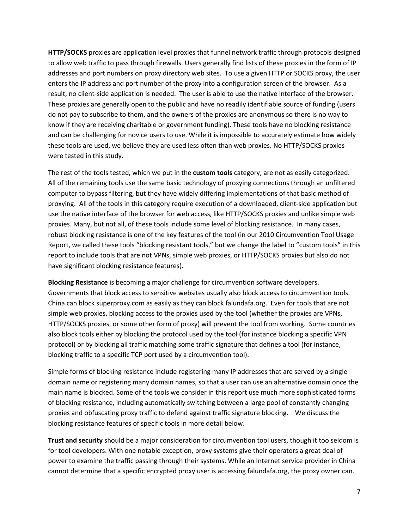HTTP/SOCKS proxies are application level proxies that funnel network traffic through protocols designed to allow web traffic to pass through firewalls. Users generally find lists of these proxies in the form of IP addresses and port numbers on proxy directory web sites. To use a given HTTP or SOCKS proxy, the user enters the IP address and port number of the proxy into a configuration screen of the browser. As a result, no client-side application is needed. The user is able to use the native interface of the browser. These proxies are generally open to the public and have no readily identifiable source of funding (users do not pay to subscribe to them, and the owners of the proxies are anonymous so there is no way to know if they are receiving charitable or government funding). These tools have no blocking resistance and can be challenging for novice users to use. While it is impossible to accurately estimate how widely these tools are used, we believe they are used less often than web proxies. No HTTP/SOCKS proxies were tested in this study.

The rest of the tools tested, which we put in the custom tools category, are not as easily categorized. All of the remaining tools use the same basic technology of proxying connections through an unfiltered computer to bypass filtering, but they have widely differing implementations of that basic method of proxying. All of the tools in this category require execution of a downloaded, client-side application but use the native interface of the browser for web access, like HTTP/SOCKS proxies and unlike simple web proxies. Many, but not all, of these tools include some level of blocking resistance. In many cases, robust blocking resistance is one of the key features of the tool (in our 2010 Circumvention Tool Usage Report, we called these tools "blocking resistant tools," but we change the label to "custom tools" in this report to include tools that are not VPNs, simple web proxies, or HTTP/SOCKS proxies but also do not have significant blocking resistance features).

Blocking Resistance is becoming a major challenge for circumvention software developers. Governments that block access to sensitive websites usually also block access to circumvention tools. China can block superproxy.com as easily as they can block falundafa.org. Even for tools that are not simple web proxies, blocking access to the proxies used by the tool (whether the proxies are VPNs, HTTP/SOCKS proxies, or some other form of proxy) will prevent the tool from working. Some countries also block tools either by blocking the protocol used by the tool (for instance blocking a specific VPN protocol) or by blocking all traffic matching some traffic signature that defines a tool (for instance, blocking traffic to a specific TCP port used by a circumvention tool).

Simple forms of blocking resistance include registering many IP addresses that are served by a single domain name or registering many domain names, so that a user can use an alternative domain once the main name is blocked. Some of the tools we consider in this report use much more sophisticated forms of blocking resistance, including automatically switching between a large pool of constantly changing proxies and obfuscating proxy traffic to defend against traffic signature blocking. We discuss the blocking resistance features of specific tools in more detail below.

Trust and security should be a major consideration for circumvention tool users, though it too seldom is for tool developers. With one notable exception, proxy systems give their operators a great deal of power to examine the traffic passing through their systems. While an Internet service provider in China cannot determine that a specific encrypted proxy user is accessing falundafa.org, the proxy owner can.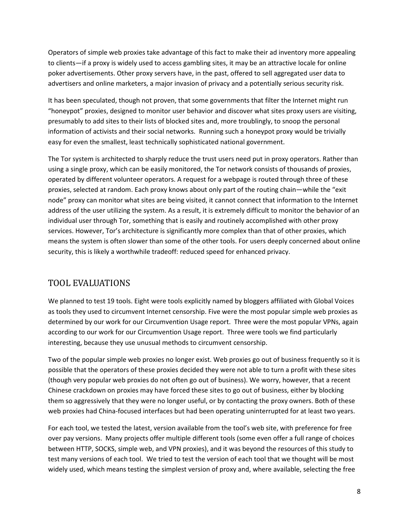Operators of simple web proxies take advantage of this fact to make their ad inventory more appealing to clients—if a proxy is widely used to access gambling sites, it may be an attractive locale for online poker advertisements. Other proxy servers have, in the past, offered to sell aggregated user data to advertisers and online marketers, a major invasion of privacy and a potentially serious security risk.

It has been speculated, though not proven, that some governments that filter the Internet might run "honeypot" proxies, designed to monitor user behavior and discover what sites proxy users are visiting, presumably to add sites to their lists of blocked sites and, more troublingly, to snoop the personal information of activists and their social networks. Running such a honeypot proxy would be trivially easy for even the smallest, least technically sophisticated national government.

The Tor system is architected to sharply reduce the trust users need put in proxy operators. Rather than using a single proxy, which can be easily monitored, the Tor network consists of thousands of proxies, operated by different volunteer operators. A request for a webpage is routed through three of these proxies, selected at random. Each proxy knows about only part of the routing chain—while the "exit node" proxy can monitor what sites are being visited, it cannot connect that information to the Internet address of the user utilizing the system. As a result, it is extremely difficult to monitor the behavior of an individual user through Tor, something that is easily and routinely accomplished with other proxy services. However, Tor's architecture is significantly more complex than that of other proxies, which means the system is often slower than some of the other tools. For users deeply concerned about online security, this is likely a worthwhile tradeoff: reduced speed for enhanced privacy.

#### TOOL EVALUATIONS

We planned to test 19 tools. Eight were tools explicitly named by bloggers affiliated with Global Voices as tools they used to circumvent Internet censorship. Five were the most popular simple web proxies as determined by our work for our Circumvention Usage report. Three were the most popular VPNs, again according to our work for our Circumvention Usage report. Three were tools we find particularly interesting, because they use unusual methods to circumvent censorship.

Two of the popular simple web proxies no longer exist. Web proxies go out of business frequently so it is possible that the operators of these proxies decided they were not able to turn a profit with these sites (though very popular web proxies do not often go out of business). We worry, however, that a recent Chinese crackdown on proxies may have forced these sites to go out of business, either by blocking them so aggressively that they were no longer useful, or by contacting the proxy owners. Both of these web proxies had China-focused interfaces but had been operating uninterrupted for at least two years.

For each tool, we tested the latest, version available from the tool's web site, with preference for free over pay versions. Many projects offer multiple different tools (some even offer a full range of choices between HTTP, SOCKS, simple web, and VPN proxies), and it was beyond the resources of this study to test many versions of each tool. We tried to test the version of each tool that we thought will be most widely used, which means testing the simplest version of proxy and, where available, selecting the free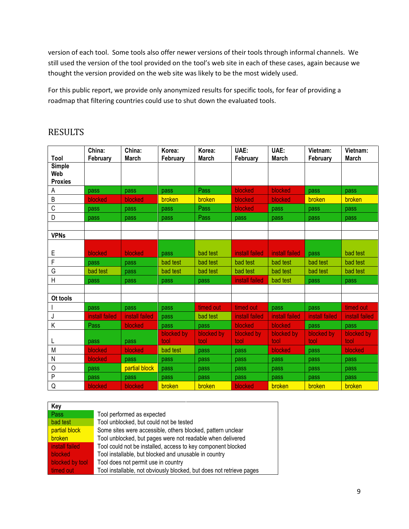version of each tool. Some tools also offer newer versions of their tools through informal channels. We still used the version of the tool provided on the tool's web site in each of these cases, again because we thought the version provided on the web site was likely to be the most widely used.

For this public report, we provide only anonymized results for specific tools, for fear of providing a roadmap that filtering countries could use to shut down the evaluated tools.

|                      | China:         | China:         | Korea:     | Korea:       | UAE:           | UAE:           | Vietnam:       | Vietnam:       |
|----------------------|----------------|----------------|------------|--------------|----------------|----------------|----------------|----------------|
| Tool                 | February       | <b>March</b>   | February   | <b>March</b> | February       | <b>March</b>   | February       | <b>March</b>   |
| <b>Simple</b><br>Web |                |                |            |              |                |                |                |                |
| <b>Proxies</b>       |                |                |            |              |                |                |                |                |
| A                    | pass           | pass           | pass       | Pass         | blocked        | blocked        | pass           | pass           |
| B                    | blocked        | blocked        | broken     | broken       | blocked        | blocked        | broken         | <b>broken</b>  |
| С                    | pass           | pass           |            | Pass         | blocked        |                |                | pass           |
|                      |                |                | pass       |              |                | pass           | pass           |                |
| D                    | pass           | pass           | pass       | Pass         | pass           | pass           | pass           | pass           |
|                      |                |                |            |              |                |                |                |                |
| <b>VPNs</b>          |                |                |            |              |                |                |                |                |
|                      |                |                |            |              |                |                |                |                |
| E                    | blocked        | blocked        | pass       | bad test     | install failed | install failed | pass           | bad test       |
| F                    | pass           | pass           | bad test   | bad test     | bad test       | bad test       | bad test       | bad test       |
| G                    | bad test       | pass           | bad test   | bad test     | bad test       | bad test       | bad test       | bad test       |
| Η                    | pass           | pass           | pass       | pass         | install failed | bad test       | pass           | pass           |
|                      |                |                |            |              |                |                |                |                |
| Ot tools             |                |                |            |              |                |                |                |                |
|                      | pass           | pass           | pass       | timed out    | timed out      | pass           | pass           | timed out      |
| J                    | install failed | install failed | pass       | bad test     | install failed | install failed | install failed | install failed |
| K                    | Pass           | blocked        | pass       | pass         | blocked        | blocked        | pass           | pass           |
|                      |                |                | blocked by | blocked by   | blocked by     | blocked by     | blocked by     | blocked by     |
| L                    | pass           | pass           | tool       | tool         | tool           | tool           | tool           | tool           |
| M                    | blocked        | blocked        | bad test   | pass         | pass           | blocked        | pass           | blocked        |
| N                    | blocked        | pass           | pass       | pass         | pass           | pass           | pass           | pass           |
| $\circ$              | pass           | partial block  | pass       | pass         | pass           | pass           | pass           | pass           |
| P                    | pass           | pass           | pass       | pass         | pass           | pass           | pass           | pass           |
| Q                    | blocked        | <b>blocked</b> | broken     | broken       | blocked        | broken         | broken         | broken         |

#### **RESULTS**

| Key             |                                                                      |
|-----------------|----------------------------------------------------------------------|
| Pass            | Tool performed as expected                                           |
| bad test        | Tool unblocked, but could not be tested                              |
| partial block   | Some sites were accessible, others blocked, pattern unclear          |
| broken          | Tool unblocked, but pages were not readable when delivered           |
| install failed  | Tool could not be installed, access to key component blocked         |
| blocked         | Tool installable, but blocked and unusable in country                |
| blocked by tool | Tool does not permit use in country                                  |
| timed out       | Tool installable, not obviously blocked, but does not retrieve pages |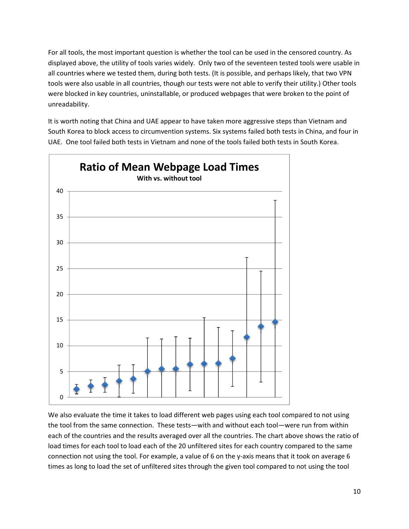For all tools, the most important question is whether the tool can be used in the censored country. As displayed above, the utility of tools varies widely. Only two of the seventeen tested tools were usable in For all tools, the most important question is whether the tool can be used in the censored country. As<br>displayed above, the utility of tools varies widely. Only two of the seventeen tested tools were usable<br>all countries w tools were also usable in all countries, though our tests were not able to verify their utility.) Other tools were blocked in key countries, uninstallable, or produced webpages that were broken to the point of unreadability. th tests. (It is possible, and perhaps likely, that two VPN<br>our tests were not able to verify their utility.) Other toc<br>r produced webpages that were broken to the point of

It is worth noting that China and UAE appear to have taken more aggressive steps than Vietnam and South Korea to block access to circumvention systems. Six systems failed both tests in UAE. One tool failed both tests in Vietnam and none of the tools failed both tests in South Korea. usable in all countries, though our tests were not able to verify their utility.) Other tools<br>I key countries, uninstallable, or produced webpages that were broken to the point of<br>Ig that China and UAE appear to have taken China, and four in



We also evaluate the time it takes to load different web pages using each tool compared to not using the tool from the same connection. These tests—with and without each tool—were run from within each of the countries and the results averaged over all the countries. The chart above shows the ratio of load times for each tool to load each of the 20 unfiltered sites for each country compared to the same connection not using the tool. For example, a value of 6 on the y-axis means that it took on average 6 times as long to load the set of unfiltered sites through the given tool compared to not using the tool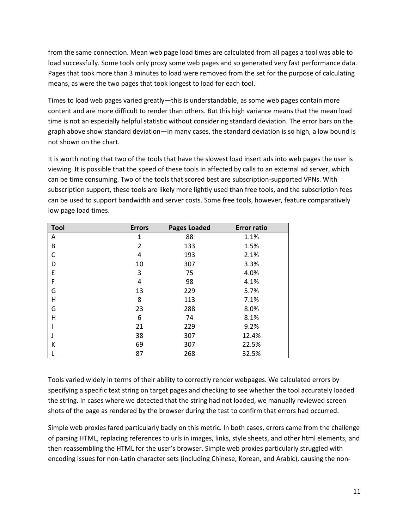from the same connection. Mean web page load times are calculated from all pages a tool was able to load successfully. Some tools only proxy some web pages and so generated very fast performance data. Pages that took more than 3 minutes to load were removed from the set for the purpose of calculating means, as were the two pages that took longest to load for each tool.

Times to load web pages varied greatly—this is understandable, as some web pages contain more content and are more difficult to render than others. But this high variance means that the mean load time is not an especially helpful statistic without considering standard deviation. The error bars on the graph above show standard deviation—in many cases, the standard deviation is so high, a low bound is not shown on the chart.

It is worth noting that two of the tools that have the slowest load insert ads into web pages the user is viewing. It is possible that the speed of these tools in affected by calls to an external ad server, which can be time consuming. Two of the tools that scored best are subscription-supported VPNs. With subscription support, these tools are likely more lightly used than free tools, and the subscription fees can be used to support bandwidth and server costs. Some free tools, however, feature comparatively low page load times.

| <b>Tool</b> | <b>Errors</b> | <b>Pages Loaded</b> | <b>Error ratio</b> |
|-------------|---------------|---------------------|--------------------|
| Α           | 1             | 88                  | 1.1%               |
| B           | 2             | 133                 | 1.5%               |
| C           | 4             | 193                 | 2.1%               |
| D           | 10            | 307                 | 3.3%               |
| E           | 3             | 75                  | 4.0%               |
| F           | 4             | 98                  | 4.1%               |
| G           | 13            | 229                 | 5.7%               |
| Н           | 8             | 113                 | 7.1%               |
| G           | 23            | 288                 | 8.0%               |
| Н           | 6             | 74                  | 8.1%               |
|             | 21            | 229                 | 9.2%               |
|             | 38            | 307                 | 12.4%              |
| К           | 69            | 307                 | 22.5%              |
|             | 87            | 268                 | 32.5%              |

Tools varied widely in terms of their ability to correctly render webpages. We calculated errors by specifying a specific text string on target pages and checking to see whether the tool accurately loaded the string. In cases where we detected that the string had not loaded, we manually reviewed screen shots of the page as rendered by the browser during the test to confirm that errors had occurred.

Simple web proxies fared particularly badly on this metric. In both cases, errors came from the challenge of parsing HTML, replacing references to urls in images, links, style sheets, and other html elements, and then reassembling the HTML for the user's browser. Simple web proxies particularly struggled with encoding issues for non-Latin character sets (including Chinese, Korean, and Arabic), causing the non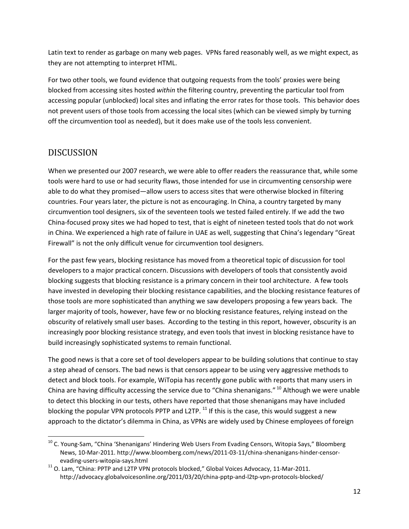Latin text to render as garbage on many web pages. VPNs fared reasonably well, as we might expect, as they are not attempting to interpret HTML.

For two other tools, we found evidence that outgoing requests from the tools' proxies were being blocked from accessing sites hosted within the filtering country, preventing the particular tool from accessing popular (unblocked) local sites and inflating the error rates for those tools. This behavior does not prevent users of those tools from accessing the local sites (which can be viewed simply by turning off the circumvention tool as needed), but it does make use of the tools less convenient.

## DISCUSSION

l

When we presented our 2007 research, we were able to offer readers the reassurance that, while some tools were hard to use or had security flaws, those intended for use in circumventing censorship were able to do what they promised—allow users to access sites that were otherwise blocked in filtering countries. Four years later, the picture is not as encouraging. In China, a country targeted by many circumvention tool designers, six of the seventeen tools we tested failed entirely. If we add the two China-focused proxy sites we had hoped to test, that is eight of nineteen tested tools that do not work in China. We experienced a high rate of failure in UAE as well, suggesting that China's legendary "Great Firewall" is not the only difficult venue for circumvention tool designers.

For the past few years, blocking resistance has moved from a theoretical topic of discussion for tool developers to a major practical concern. Discussions with developers of tools that consistently avoid blocking suggests that blocking resistance is a primary concern in their tool architecture. A few tools have invested in developing their blocking resistance capabilities, and the blocking resistance features of those tools are more sophisticated than anything we saw developers proposing a few years back. The larger majority of tools, however, have few or no blocking resistance features, relying instead on the obscurity of relatively small user bases. According to the testing in this report, however, obscurity is an increasingly poor blocking resistance strategy, and even tools that invest in blocking resistance have to build increasingly sophisticated systems to remain functional.

The good news is that a core set of tool developers appear to be building solutions that continue to stay a step ahead of censors. The bad news is that censors appear to be using very aggressive methods to detect and block tools. For example, WiTopia has recently gone public with reports that many users in China are having difficulty accessing the service due to "China shenanigans." <sup>10</sup> Although we were unable to detect this blocking in our tests, others have reported that those shenanigans may have included blocking the popular VPN protocols PPTP and L2TP.  $^{11}$  If this is the case, this would suggest a new approach to the dictator's dilemma in China, as VPNs are widely used by Chinese employees of foreign

<sup>&</sup>lt;sup>10</sup> C. Young-Sam, "China 'Shenanigans' Hindering Web Users From Evading Censors, Witopia Says," Bloomberg News, 10-Mar-2011. http://www.bloomberg.com/news/2011-03-11/china-shenanigans-hinder-censorevading-users-witopia-says.html

 $11$  O. Lam, "China: PPTP and L2TP VPN protocols blocked," Global Voices Advocacy, 11-Mar-2011. http://advocacy.globalvoicesonline.org/2011/03/20/china-pptp-and-l2tp-vpn-protocols-blocked/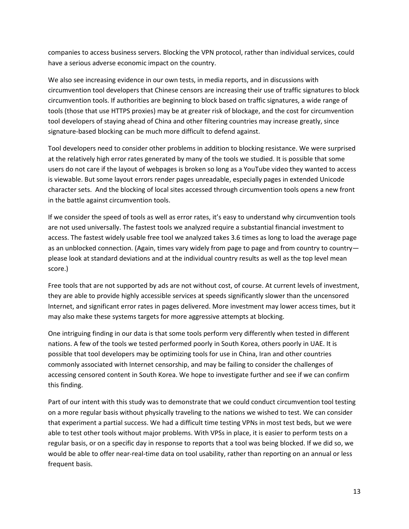companies to access business servers. Blocking the VPN protocol, rather than individual services, could have a serious adverse economic impact on the country.

We also see increasing evidence in our own tests, in media reports, and in discussions with circumvention tool developers that Chinese censors are increasing their use of traffic signatures to block circumvention tools. If authorities are beginning to block based on traffic signatures, a wide range of tools (those that use HTTPS proxies) may be at greater risk of blockage, and the cost for circumvention tool developers of staying ahead of China and other filtering countries may increase greatly, since signature-based blocking can be much more difficult to defend against.

Tool developers need to consider other problems in addition to blocking resistance. We were surprised at the relatively high error rates generated by many of the tools we studied. It is possible that some users do not care if the layout of webpages is broken so long as a YouTube video they wanted to access is viewable. But some layout errors render pages unreadable, especially pages in extended Unicode character sets. And the blocking of local sites accessed through circumvention tools opens a new front in the battle against circumvention tools.

If we consider the speed of tools as well as error rates, it's easy to understand why circumvention tools are not used universally. The fastest tools we analyzed require a substantial financial investment to access. The fastest widely usable free tool we analyzed takes 3.6 times as long to load the average page as an unblocked connection. (Again, times vary widely from page to page and from country to country please look at standard deviations and at the individual country results as well as the top level mean score.)

Free tools that are not supported by ads are not without cost, of course. At current levels of investment, they are able to provide highly accessible services at speeds significantly slower than the uncensored Internet, and significant error rates in pages delivered. More investment may lower access times, but it may also make these systems targets for more aggressive attempts at blocking.

One intriguing finding in our data is that some tools perform very differently when tested in different nations. A few of the tools we tested performed poorly in South Korea, others poorly in UAE. It is possible that tool developers may be optimizing tools for use in China, Iran and other countries commonly associated with Internet censorship, and may be failing to consider the challenges of accessing censored content in South Korea. We hope to investigate further and see if we can confirm this finding.

Part of our intent with this study was to demonstrate that we could conduct circumvention tool testing on a more regular basis without physically traveling to the nations we wished to test. We can consider that experiment a partial success. We had a difficult time testing VPNs in most test beds, but we were able to test other tools without major problems. With VPSs in place, it is easier to perform tests on a regular basis, or on a specific day in response to reports that a tool was being blocked. If we did so, we would be able to offer near-real-time data on tool usability, rather than reporting on an annual or less frequent basis.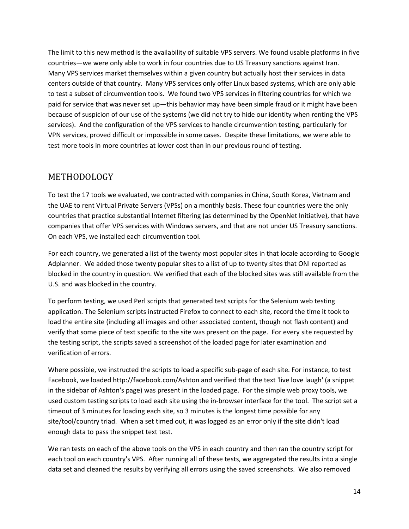The limit to this new method is the availability of suitable VPS servers. We found usable platforms in five countries—we were only able to work in four countries due to US Treasury sanctions against Iran. Many VPS services market themselves within a given country but actually host their services in data centers outside of that country. Many VPS services only offer Linux based systems, which are only able to test a subset of circumvention tools. We found two VPS services in filtering countries for which we paid for service that was never set up—this behavior may have been simple fraud or it might have been because of suspicion of our use of the systems (we did not try to hide our identity when renting the VPS services). And the configuration of the VPS services to handle circumvention testing, particularly for VPN services, proved difficult or impossible in some cases. Despite these limitations, we were able to test more tools in more countries at lower cost than in our previous round of testing.

## METHODOLOGY

To test the 17 tools we evaluated, we contracted with companies in China, South Korea, Vietnam and the UAE to rent Virtual Private Servers (VPSs) on a monthly basis. These four countries were the only countries that practice substantial Internet filtering (as determined by the OpenNet Initiative), that have companies that offer VPS services with Windows servers, and that are not under US Treasury sanctions. On each VPS, we installed each circumvention tool.

For each country, we generated a list of the twenty most popular sites in that locale according to Google Adplanner. We added those twenty popular sites to a list of up to twenty sites that ONI reported as blocked in the country in question. We verified that each of the blocked sites was still available from the U.S. and was blocked in the country.

To perform testing, we used Perl scripts that generated test scripts for the Selenium web testing application. The Selenium scripts instructed Firefox to connect to each site, record the time it took to load the entire site (including all images and other associated content, though not flash content) and verify that some piece of text specific to the site was present on the page. For every site requested by the testing script, the scripts saved a screenshot of the loaded page for later examination and verification of errors.

Where possible, we instructed the scripts to load a specific sub-page of each site. For instance, to test Facebook, we loaded http://facebook.com/Ashton and verified that the text 'live love laugh' (a snippet in the sidebar of Ashton's page) was present in the loaded page. For the simple web proxy tools, we used custom testing scripts to load each site using the in-browser interface for the tool. The script set a timeout of 3 minutes for loading each site, so 3 minutes is the longest time possible for any site/tool/country triad. When a set timed out, it was logged as an error only if the site didn't load enough data to pass the snippet text test.

We ran tests on each of the above tools on the VPS in each country and then ran the country script for each tool on each country's VPS. After running all of these tests, we aggregated the results into a single data set and cleaned the results by verifying all errors using the saved screenshots. We also removed